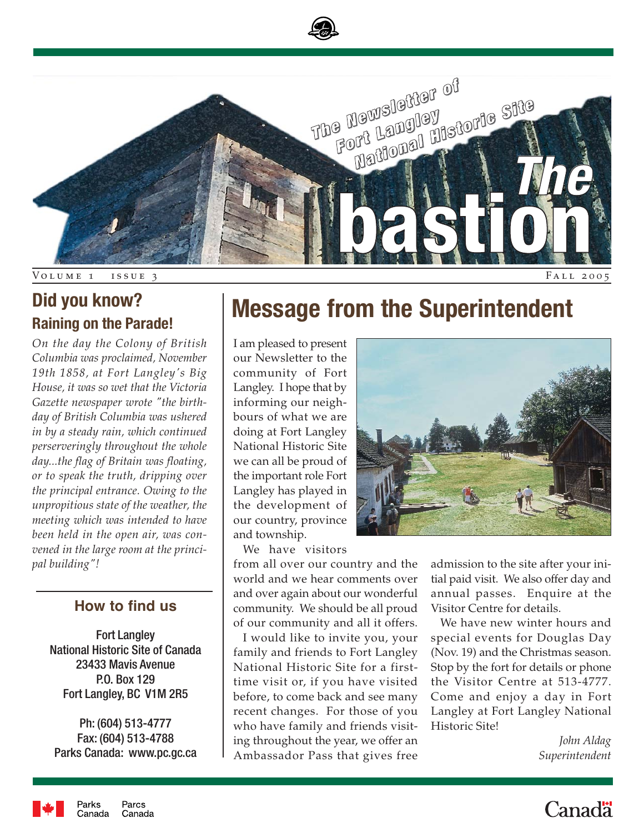

## **Did you know? Raining on the Parade!**

*On the day the Colony of British Columbia was proclaimed, November 19th 1858, at Fort Langley's Big House, it was so wet that the Victoria Gazette newspaper wrote "the birthday of British Columbia was ushered in by a steady rain, which continued perserveringly throughout the whole day...the flag of Britain was floating, or to speak the truth, dripping over the principal entrance. Owing to the unpropitious state of the weather, the meeting which was intended to have been held in the open air, was convened in the large room at the principal building"!*

## **How to find us**

Fort Langley National Historic Site of Canada 23433 Mavis Avenue P.O. Box 129 Fort Langley, BC V1M 2R5

Ph: (604) 513-4777 Fax: (604) 513-4788 Parks Canada: www.pc.gc.ca

## **Message from the Superintendent**

I am pleased to present our Newsletter to the community of Fort Langley. I hope that by informing our neighbours of what we are doing at Fort Langley National Historic Site we can all be proud of the important role Fort Langley has played in the development of our country, province and township.

We have visitors

from all over our country and the world and we hear comments over and over again about our wonderful community. We should be all proud of our community and all it offers.

I would like to invite you, your family and friends to Fort Langley National Historic Site for a firsttime visit or, if you have visited before, to come back and see many recent changes. For those of you who have family and friends visiting throughout the year, we offer an Ambassador Pass that gives free



admission to the site after your initial paid visit. We also offer day and annual passes. Enquire at the Visitor Centre for details.

We have new winter hours and special events for Douglas Day (Nov. 19) and the Christmas season. Stop by the fort for details or phone the Visitor Centre at 513-4777. Come and enjoy a day in Fort Langley at Fort Langley National Historic Site!

> *John Aldag Superintendent*



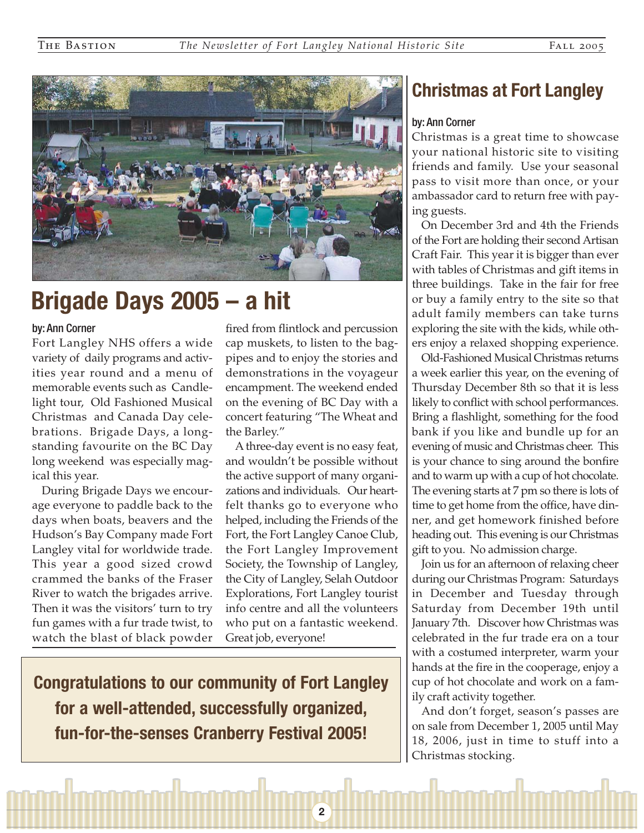

## **Brigade Days 2005 – a hit**

#### by: Ann Corner

Fort Langley NHS offers a wide variety of daily programs and activities year round and a menu of memorable events such as Candlelight tour, Old Fashioned Musical Christmas and Canada Day celebrations. Brigade Days, a longstanding favourite on the BC Day long weekend was especially magical this year.

During Brigade Days we encourage everyone to paddle back to the days when boats, beavers and the Hudson's Bay Company made Fort Langley vital for worldwide trade. This year a good sized crowd crammed the banks of the Fraser River to watch the brigades arrive. Then it was the visitors' turn to try fun games with a fur trade twist, to watch the blast of black powder fired from flintlock and percussion cap muskets, to listen to the bagpipes and to enjoy the stories and demonstrations in the voyageur encampment. The weekend ended on the evening of BC Day with a concert featuring "The Wheat and the Barley."

A three-day event is no easy feat, and wouldn't be possible without the active support of many organizations and individuals. Our heartfelt thanks go to everyone who helped, including the Friends of the Fort, the Fort Langley Canoe Club, the Fort Langley Improvement Society, the Township of Langley, the City of Langley, Selah Outdoor Explorations, Fort Langley tourist info centre and all the volunteers who put on a fantastic weekend. Great job, everyone!

**2**

**Congratulations to our community of Fort Langley for a well-attended, successfully organized, fun-for-the-senses Cranberry Festival 2005!** 

## **Christmas at Fort Langley**

### by: Ann Corner

Christmas is a great time to showcase your national historic site to visiting friends and family. Use your seasonal pass to visit more than once, or your ambassador card to return free with paying guests.

On December 3rd and 4th the Friends of the Fort are holding their second Artisan Craft Fair. This year it is bigger than ever with tables of Christmas and gift items in three buildings. Take in the fair for free or buy a family entry to the site so that adult family members can take turns exploring the site with the kids, while others enjoy a relaxed shopping experience.

Old-Fashioned Musical Christmas returns a week earlier this year, on the evening of Thursday December 8th so that it is less likely to conflict with school performances. Bring a flashlight, something for the food bank if you like and bundle up for an evening of music and Christmas cheer. This is your chance to sing around the bonfire and to warm up with a cup of hot chocolate. The evening starts at 7 pm so there is lots of time to get home from the office, have dinner, and get homework finished before heading out. This evening is our Christmas gift to you. No admission charge.

Join us for an afternoon of relaxing cheer during our Christmas Program: Saturdays in December and Tuesday through Saturday from December 19th until January 7th. Discover how Christmas was celebrated in the fur trade era on a tour with a costumed interpreter, warm your hands at the fire in the cooperage, enjoy a cup of hot chocolate and work on a family craft activity together.

And don't forget, season's passes are on sale from December 1, 2005 until May 18, 2006, just in time to stuff into a Christmas stocking.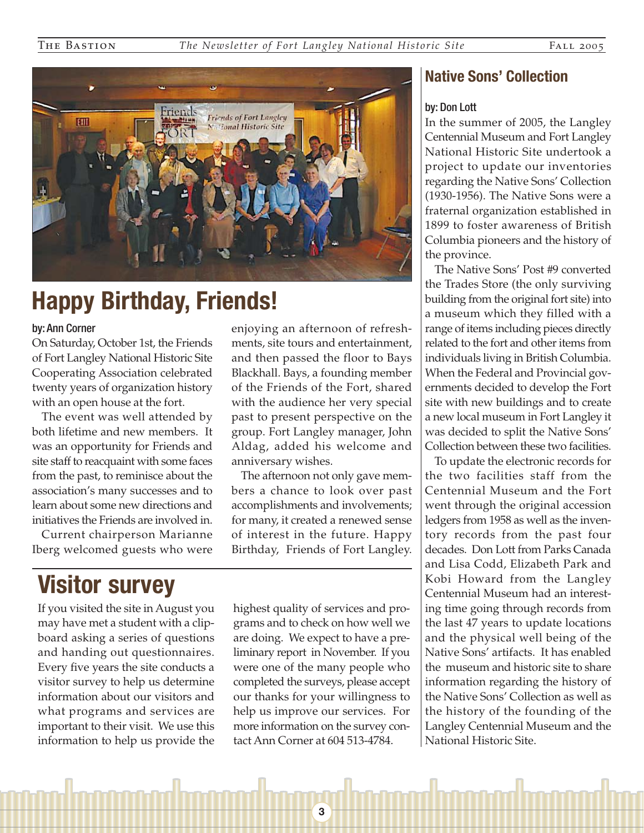enjoying an afternoon of refreshments, site tours and entertainment, and then passed the floor to Bays Blackhall. Bays, a founding member of the Friends of the Fort, shared with the audience her very special past to present perspective on the group. Fort Langley manager, John Aldag, added his welcome and

The afternoon not only gave members a chance to look over past accomplishments and involvements; for many, it created a renewed sense of interest in the future. Happy Birthday, Friends of Fort Langley.

anniversary wishes.



# **Happy Birthday, Friends!**

#### by: Ann Corner

On Saturday, October 1st, the Friends of Fort Langley National Historic Site Cooperating Association celebrated twenty years of organization history with an open house at the fort.

The event was well attended by both lifetime and new members. It was an opportunity for Friends and site staff to reacquaint with some faces from the past, to reminisce about the association's many successes and to learn about some new directions and initiatives the Friends are involved in.

Current chairperson Marianne Iberg welcomed guests who were

## **Visitor survey**

If you visited the site in August you may have met a student with a clipboard asking a series of questions and handing out questionnaires. Every five years the site conducts a visitor survey to help us determine information about our visitors and what programs and services are important to their visit. We use this information to help us provide the highest quality of services and programs and to check on how well we are doing. We expect to have a preliminary report in November. If you were one of the many people who completed the surveys, please accept our thanks for your willingness to help us improve our services. For more information on the survey contact Ann Corner at 604 513-4784.

**3**

## **Native Sons' Collection**

#### by: Don Lott

In the summer of 2005, the Langley Centennial Museum and Fort Langley National Historic Site undertook a project to update our inventories regarding the Native Sons' Collection (1930-1956). The Native Sons were a fraternal organization established in 1899 to foster awareness of British Columbia pioneers and the history of the province.

The Native Sons' Post #9 converted the Trades Store (the only surviving building from the original fort site) into a museum which they filled with a range of items including pieces directly related to the fort and other items from individuals living in British Columbia. When the Federal and Provincial governments decided to develop the Fort site with new buildings and to create a new local museum in Fort Langley it was decided to split the Native Sons' Collection between these two facilities.

To update the electronic records for the two facilities staff from the Centennial Museum and the Fort went through the original accession ledgers from 1958 as well as the inventory records from the past four decades. Don Lott from Parks Canada and Lisa Codd, Elizabeth Park and Kobi Howard from the Langley Centennial Museum had an interesting time going through records from the last 47 years to update locations and the physical well being of the Native Sons' artifacts. It has enabled the museum and historic site to share information regarding the history of the Native Sons' Collection as well as the history of the founding of the Langley Centennial Museum and the National Historic Site.